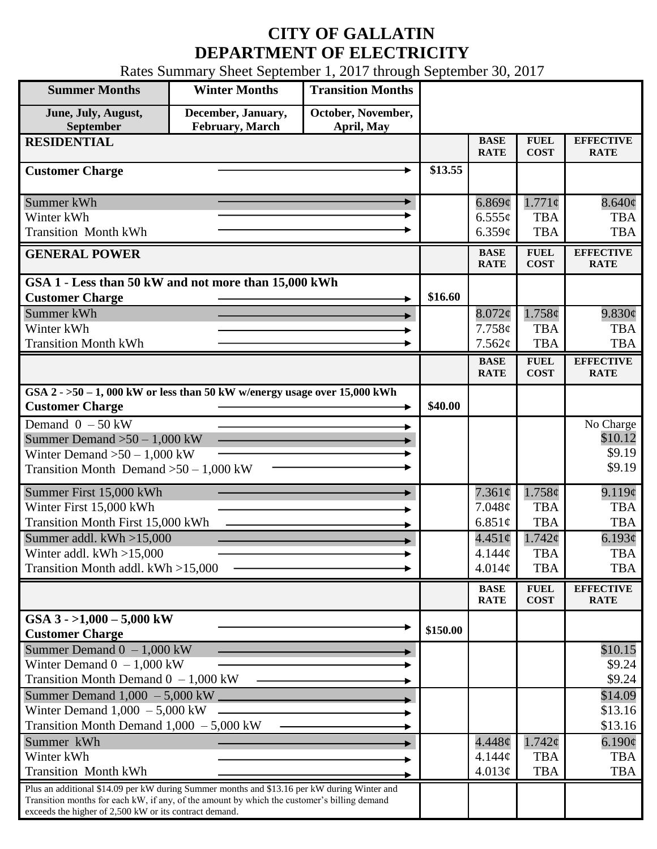## **CITY OF GALLATIN DEPARTMENT OF ELECTRICITY**

Rates Summary Sheet September 1, 2017 through September 30, 2017

| <b>Summer Months</b>                                                                                                                                                                                                                                 | <b>Winter Months</b>                          | <b>Transition Months</b>         |          |                            |                            |                                 |
|------------------------------------------------------------------------------------------------------------------------------------------------------------------------------------------------------------------------------------------------------|-----------------------------------------------|----------------------------------|----------|----------------------------|----------------------------|---------------------------------|
| June, July, August,<br>September                                                                                                                                                                                                                     | December, January,<br><b>February</b> , March | October, November,<br>April, May |          |                            |                            |                                 |
| <b>RESIDENTIAL</b>                                                                                                                                                                                                                                   |                                               |                                  |          | <b>BASE</b><br><b>RATE</b> | <b>FUEL</b><br><b>COST</b> | <b>EFFECTIVE</b><br><b>RATE</b> |
| <b>Customer Charge</b>                                                                                                                                                                                                                               |                                               |                                  |          |                            |                            |                                 |
| Summer kWh                                                                                                                                                                                                                                           |                                               |                                  |          | $6.869\mathcal{C}$         | $1.771\phi$                | $8.640\phi$                     |
| Winter kWh                                                                                                                                                                                                                                           |                                               |                                  |          | $6.555\sigma$              | <b>TBA</b>                 | <b>TBA</b>                      |
| <b>Transition Month kWh</b>                                                                                                                                                                                                                          |                                               |                                  |          | 6.359c                     | <b>TBA</b>                 | <b>TBA</b>                      |
| <b>GENERAL POWER</b>                                                                                                                                                                                                                                 |                                               |                                  |          | <b>BASE</b><br><b>RATE</b> | <b>FUEL</b><br><b>COST</b> | <b>EFFECTIVE</b><br><b>RATE</b> |
| GSA 1 - Less than 50 kW and not more than 15,000 kWh                                                                                                                                                                                                 |                                               |                                  |          |                            |                            |                                 |
| <b>Customer Charge</b>                                                                                                                                                                                                                               |                                               |                                  | \$16.60  |                            |                            |                                 |
| Summer kWh                                                                                                                                                                                                                                           |                                               |                                  |          | $8.072\phi$                | 1.758¢                     | 9.830¢                          |
| Winter kWh                                                                                                                                                                                                                                           |                                               |                                  |          | 7.758c                     | <b>TBA</b>                 | <b>TBA</b>                      |
| <b>Transition Month kWh</b>                                                                                                                                                                                                                          |                                               |                                  |          | 7.562¢                     | <b>TBA</b>                 | <b>TBA</b>                      |
|                                                                                                                                                                                                                                                      |                                               |                                  |          | <b>BASE</b><br><b>RATE</b> | <b>FUEL</b><br><b>COST</b> | <b>EFFECTIVE</b><br><b>RATE</b> |
| GSA $2 - 50 - 1$ , 000 kW or less than 50 kW w/energy usage over 15,000 kWh<br><b>Customer Charge</b>                                                                                                                                                |                                               |                                  |          |                            |                            |                                 |
|                                                                                                                                                                                                                                                      |                                               |                                  | \$40.00  |                            |                            |                                 |
| Demand $0 - 50$ kW                                                                                                                                                                                                                                   |                                               |                                  |          |                            |                            | No Charge<br>\$10.12            |
| Summer Demand $>50 - 1,000$ kW<br>Winter Demand $>50-1,000$ kW                                                                                                                                                                                       |                                               |                                  |          |                            |                            | \$9.19                          |
| Transition Month Demand $>50-1,000$ kW                                                                                                                                                                                                               |                                               |                                  |          |                            |                            | \$9.19                          |
|                                                                                                                                                                                                                                                      |                                               |                                  |          |                            | 1.758¢                     |                                 |
| Summer First 15,000 kWh<br>Winter First 15,000 kWh                                                                                                                                                                                                   |                                               |                                  |          | $7.361\phi$<br>7.048¢      | <b>TBA</b>                 | 9.119¢<br><b>TBA</b>            |
| Transition Month First 15,000 kWh                                                                                                                                                                                                                    |                                               |                                  |          | 6.851 $\phi$               | <b>TBA</b>                 | <b>TBA</b>                      |
| Summer addl. $kWh > 15,000$                                                                                                                                                                                                                          |                                               |                                  |          | $4.451\circ$               | $1.742\epsilon$            | 6.193¢                          |
| Winter addl. $kWh > 15,000$                                                                                                                                                                                                                          |                                               |                                  |          | 4.144¢                     | <b>TBA</b>                 | <b>TBA</b>                      |
| Transition Month addl. kWh >15,000                                                                                                                                                                                                                   |                                               |                                  |          | 4.014¢                     | <b>TBA</b>                 | <b>TBA</b>                      |
|                                                                                                                                                                                                                                                      |                                               |                                  |          |                            |                            |                                 |
|                                                                                                                                                                                                                                                      |                                               |                                  |          | <b>BASE</b><br><b>RATE</b> | <b>FUEL</b><br><b>COST</b> | <b>EFFECTIVE</b><br><b>RATE</b> |
| GSA $3 - 1,000 - 5,000$ kW<br><b>Customer Charge</b>                                                                                                                                                                                                 |                                               |                                  | \$150.00 |                            |                            |                                 |
| Summer Demand $0 - 1,000$ kW                                                                                                                                                                                                                         |                                               |                                  |          |                            |                            | \$10.15                         |
| Winter Demand $0 - 1,000$ kW                                                                                                                                                                                                                         |                                               |                                  |          |                            |                            | \$9.24                          |
| Transition Month Demand $0 - 1,000$ kW                                                                                                                                                                                                               |                                               |                                  |          |                            |                            | \$9.24                          |
| Summer Demand $1,000 - 5,000$ kW $\_$                                                                                                                                                                                                                |                                               |                                  |          |                            |                            | \$14.09                         |
| Winter Demand $1,000 - 5,000$ kW                                                                                                                                                                                                                     |                                               |                                  |          |                            |                            | \$13.16                         |
| Transition Month Demand $1,000 - 5,000$ kW                                                                                                                                                                                                           |                                               |                                  |          |                            |                            | \$13.16                         |
| Summer kWh                                                                                                                                                                                                                                           |                                               |                                  |          | $4.448\phi$                | $1.742\varphi$             | $6.190\phi$                     |
| Winter kWh                                                                                                                                                                                                                                           |                                               |                                  |          | $4.144\mathcal{C}$         | <b>TBA</b>                 | <b>TBA</b>                      |
| <b>Transition Month kWh</b>                                                                                                                                                                                                                          |                                               |                                  |          | 4.013¢                     | <b>TBA</b>                 | <b>TBA</b>                      |
| Plus an additional \$14.09 per kW during Summer months and \$13.16 per kW during Winter and<br>Transition months for each kW, if any, of the amount by which the customer's billing demand<br>exceeds the higher of 2,500 kW or its contract demand. |                                               |                                  |          |                            |                            |                                 |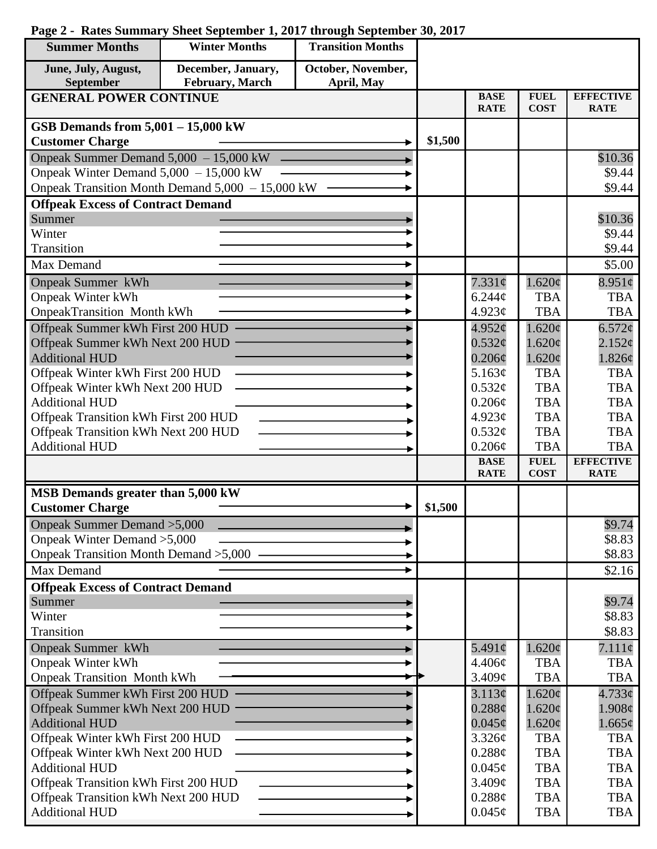## **Summer Months Winter Months Transition Months December, January, June, July, August, October, November, September February, March April, May GENERAL POWER CONTINUE BASE FUEL EFFECTIVE RATE COST RATE GSB Demands from 5,001 – 15,000 kW**  $\text{Customer Charge}$   $\longrightarrow$  \$1,500 Onpeak Summer Demand 5,000 – 15,000 kW \$10.36 Onpeak Winter Demand 5,000 – 15,000 kW \$9.44 Onpeak Transition Month Demand 5,000 – 15,000 kW \$9.44 **Offpeak Excess of Contract Demand** Summer \$10.36 Winter \$9.44 Transition \$9.44 Max Demand  $\qquad \qquad \longrightarrow \qquad$  \$5.00 Onpeak Summer kWh 7.331¢  $1.620\phi$  $8.951¢$ Onpeak Winter kWh 6.244¢ TBA **TBA** OnpeakTransition Month kWh 4.923¢ TBA TBA Offpeak Summer kWh First 200 HUD ь 4.952¢ 1.620¢  $6.572c$ Offpeak Summer kWh Next 200 HUD  $0.532<sub>\mathcal{C}</sub>$ </sub> 1.620¢  $2.152c$ Additional HUD  $0.206\mathcal{C}$ 1.620¢ 1.826¢ Offpeak Winter kWh First 200 HUD 5.163¢ TBA TBA Offpeak Winter kWh Next 200 HUD TBA **TBA**  $0.532\epsilon$ Additional HUD TBA  $0.206\mathcal{C}$ TBA Offpeak Transition kWh First 200 HUD 4.923¢ TBA TBA Offpeak Transition kWh Next 200 HUD TBA  $0.532\epsilon$ TBA TBA Additional HUD 0.206¢ TBA **BASE FUEL EFFECTIVE RATE COST RATE MSB Demands greater than 5,000 kW** Customer Charge  $\longrightarrow$  \$1,500 Onpeak Summer Demand >5,000 \$9.74 Onpeak Winter Demand >5,000 \$8.83 Onpeak Transition Month Demand >5,000 \$8.83 Max Demand  $\sim$   $\sim$  \$2.16 **Offpeak Excess of Contract Demand** Summer \$9.74 Winter \$8.83 **Transition** \$8.83 Onpeak Summer kWh 5.491¢ 1.620¢ 7.111¢ ▶ Onpeak Winter kWh 4.406¢ **TBA TBA** Onpeak Transition Month kWh  $3.409<sub>c</sub>$ TBA TBA Offpeak Summer kWh First 200 HUD 4.733¢ 3.113¢  $1.620\text{c}$ Offpeak Summer kWh Next 200 HUD  $0.288<sub>c</sub>$  $1.620\text{¢}$ 1.908¢ Additional HUD  $0.045\text{c}$ 1.620¢ 1.665¢ Offpeak Winter kWh First 200 HUD 3.326¢ TBA TBA Offpeak Winter kWh Next 200 HUD 0.288¢ TBA **TBA** Additional HUD  $0.045\text{c}$ TBA **TBA** Offpeak Transition kWh First 200 HUD  $3.409\ell$ TBA TBA

0.288¢  $0.045\epsilon$  TBA TBA TBA TBA

## **Page 2 - Rates Summary Sheet September 1, 2017 through September 30, 2017**

Offpeak Transition kWh Next 200 HUD

Additional HUD